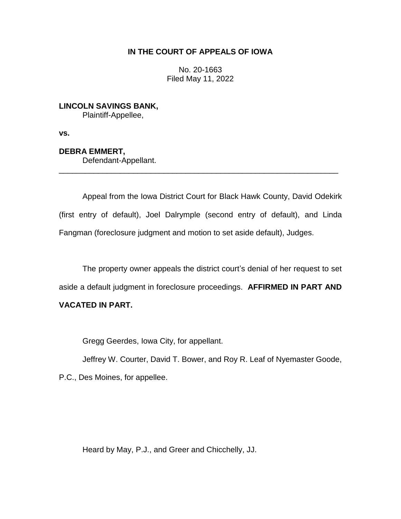# **IN THE COURT OF APPEALS OF IOWA**

No. 20-1663 Filed May 11, 2022

**LINCOLN SAVINGS BANK,** Plaintiff-Appellee,

**vs.**

**DEBRA EMMERT,** Defendant-Appellant.

Appeal from the Iowa District Court for Black Hawk County, David Odekirk (first entry of default), Joel Dalrymple (second entry of default), and Linda Fangman (foreclosure judgment and motion to set aside default), Judges.

\_\_\_\_\_\_\_\_\_\_\_\_\_\_\_\_\_\_\_\_\_\_\_\_\_\_\_\_\_\_\_\_\_\_\_\_\_\_\_\_\_\_\_\_\_\_\_\_\_\_\_\_\_\_\_\_\_\_\_\_\_\_\_\_

The property owner appeals the district court's denial of her request to set aside a default judgment in foreclosure proceedings. **AFFIRMED IN PART AND** 

# **VACATED IN PART.**

Gregg Geerdes, Iowa City, for appellant.

Jeffrey W. Courter, David T. Bower, and Roy R. Leaf of Nyemaster Goode,

P.C., Des Moines, for appellee.

Heard by May, P.J., and Greer and Chicchelly, JJ.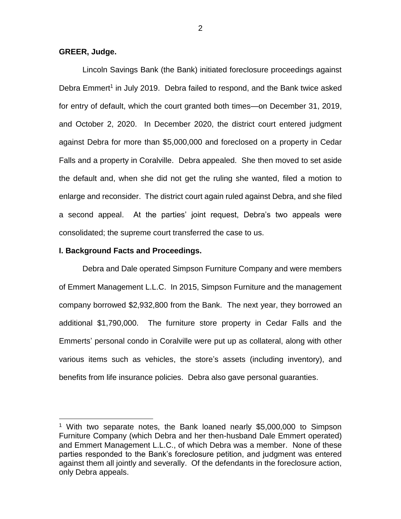#### **GREER, Judge.**

 $\overline{a}$ 

Lincoln Savings Bank (the Bank) initiated foreclosure proceedings against Debra Emmert<sup>1</sup> in July 2019. Debra failed to respond, and the Bank twice asked for entry of default, which the court granted both times—on December 31, 2019, and October 2, 2020. In December 2020, the district court entered judgment against Debra for more than \$5,000,000 and foreclosed on a property in Cedar Falls and a property in Coralville. Debra appealed. She then moved to set aside the default and, when she did not get the ruling she wanted, filed a motion to enlarge and reconsider. The district court again ruled against Debra, and she filed a second appeal. At the parties' joint request, Debra's two appeals were consolidated; the supreme court transferred the case to us.

#### **I. Background Facts and Proceedings.**

Debra and Dale operated Simpson Furniture Company and were members of Emmert Management L.L.C. In 2015, Simpson Furniture and the management company borrowed \$2,932,800 from the Bank. The next year, they borrowed an additional \$1,790,000. The furniture store property in Cedar Falls and the Emmerts' personal condo in Coralville were put up as collateral, along with other various items such as vehicles, the store's assets (including inventory), and benefits from life insurance policies. Debra also gave personal guaranties.

<sup>1</sup> With two separate notes, the Bank loaned nearly \$5,000,000 to Simpson Furniture Company (which Debra and her then-husband Dale Emmert operated) and Emmert Management L.L.C., of which Debra was a member. None of these parties responded to the Bank's foreclosure petition, and judgment was entered against them all jointly and severally. Of the defendants in the foreclosure action, only Debra appeals.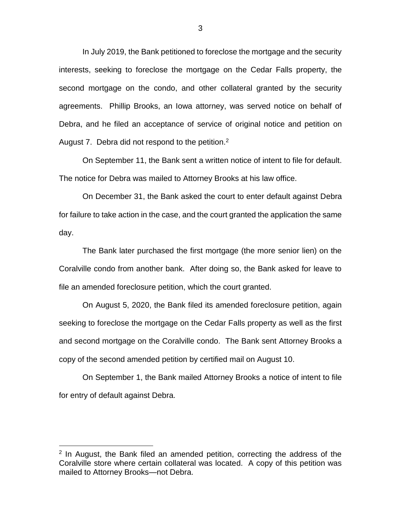In July 2019, the Bank petitioned to foreclose the mortgage and the security interests, seeking to foreclose the mortgage on the Cedar Falls property, the second mortgage on the condo, and other collateral granted by the security agreements. Phillip Brooks, an Iowa attorney, was served notice on behalf of Debra, and he filed an acceptance of service of original notice and petition on August 7. Debra did not respond to the petition.<sup>2</sup>

On September 11, the Bank sent a written notice of intent to file for default. The notice for Debra was mailed to Attorney Brooks at his law office.

On December 31, the Bank asked the court to enter default against Debra for failure to take action in the case, and the court granted the application the same day.

The Bank later purchased the first mortgage (the more senior lien) on the Coralville condo from another bank. After doing so, the Bank asked for leave to file an amended foreclosure petition, which the court granted.

On August 5, 2020, the Bank filed its amended foreclosure petition, again seeking to foreclose the mortgage on the Cedar Falls property as well as the first and second mortgage on the Coralville condo. The Bank sent Attorney Brooks a copy of the second amended petition by certified mail on August 10.

On September 1, the Bank mailed Attorney Brooks a notice of intent to file for entry of default against Debra.

<sup>&</sup>lt;sup>2</sup> In August, the Bank filed an amended petition, correcting the address of the Coralville store where certain collateral was located. A copy of this petition was mailed to Attorney Brooks—not Debra.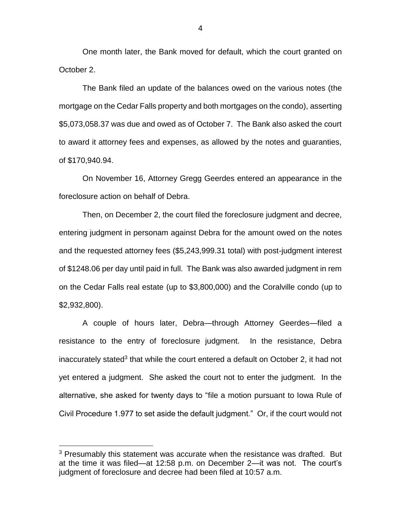One month later, the Bank moved for default, which the court granted on October 2.

The Bank filed an update of the balances owed on the various notes (the mortgage on the Cedar Falls property and both mortgages on the condo), asserting \$5,073,058.37 was due and owed as of October 7. The Bank also asked the court to award it attorney fees and expenses, as allowed by the notes and guaranties, of \$170,940.94.

On November 16, Attorney Gregg Geerdes entered an appearance in the foreclosure action on behalf of Debra.

Then, on December 2, the court filed the foreclosure judgment and decree, entering judgment in personam against Debra for the amount owed on the notes and the requested attorney fees (\$5,243,999.31 total) with post-judgment interest of \$1248.06 per day until paid in full. The Bank was also awarded judgment in rem on the Cedar Falls real estate (up to \$3,800,000) and the Coralville condo (up to \$2,932,800).

A couple of hours later, Debra—through Attorney Geerdes—filed a resistance to the entry of foreclosure judgment. In the resistance, Debra inaccurately stated<sup>3</sup> that while the court entered a default on October 2, it had not yet entered a judgment. She asked the court not to enter the judgment. In the alternative, she asked for twenty days to "file a motion pursuant to Iowa Rule of Civil Procedure 1.977 to set aside the default judgment." Or, if the court would not

 $\overline{a}$ 

4

 $3$  Presumably this statement was accurate when the resistance was drafted. But at the time it was filed—at 12:58 p.m. on December 2—it was not. The court's judgment of foreclosure and decree had been filed at 10:57 a.m.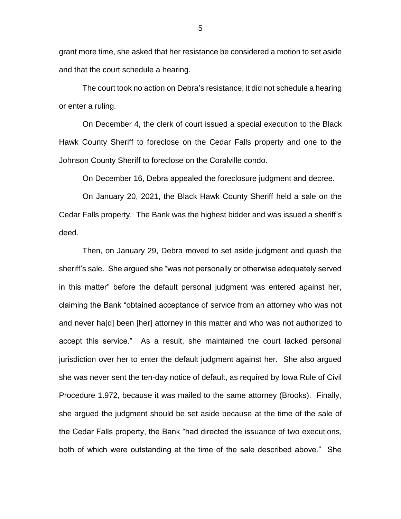grant more time, she asked that her resistance be considered a motion to set aside and that the court schedule a hearing.

The court took no action on Debra's resistance; it did not schedule a hearing or enter a ruling.

On December 4, the clerk of court issued a special execution to the Black Hawk County Sheriff to foreclose on the Cedar Falls property and one to the Johnson County Sheriff to foreclose on the Coralville condo.

On December 16, Debra appealed the foreclosure judgment and decree.

On January 20, 2021, the Black Hawk County Sheriff held a sale on the Cedar Falls property. The Bank was the highest bidder and was issued a sheriff's deed.

Then, on January 29, Debra moved to set aside judgment and quash the sheriff's sale. She argued she "was not personally or otherwise adequately served in this matter" before the default personal judgment was entered against her, claiming the Bank "obtained acceptance of service from an attorney who was not and never ha[d] been [her] attorney in this matter and who was not authorized to accept this service." As a result, she maintained the court lacked personal jurisdiction over her to enter the default judgment against her. She also argued she was never sent the ten-day notice of default, as required by Iowa Rule of Civil Procedure 1.972, because it was mailed to the same attorney (Brooks). Finally, she argued the judgment should be set aside because at the time of the sale of the Cedar Falls property, the Bank "had directed the issuance of two executions, both of which were outstanding at the time of the sale described above." She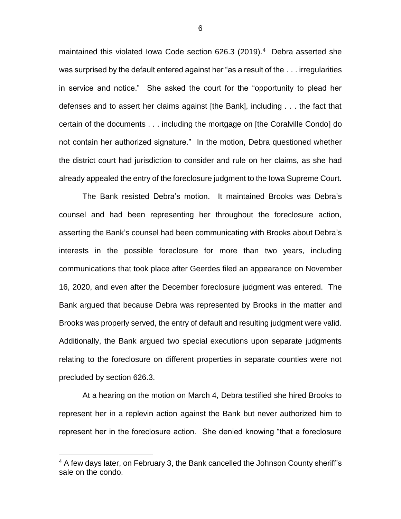maintained this violated Iowa Code section 626.3 (2019).<sup>4</sup> Debra asserted she was surprised by the default entered against her "as a result of the . . . irregularities in service and notice." She asked the court for the "opportunity to plead her defenses and to assert her claims against [the Bank], including . . . the fact that certain of the documents . . . including the mortgage on [the Coralville Condo] do not contain her authorized signature." In the motion, Debra questioned whether the district court had jurisdiction to consider and rule on her claims, as she had already appealed the entry of the foreclosure judgment to the Iowa Supreme Court.

The Bank resisted Debra's motion. It maintained Brooks was Debra's counsel and had been representing her throughout the foreclosure action, asserting the Bank's counsel had been communicating with Brooks about Debra's interests in the possible foreclosure for more than two years, including communications that took place after Geerdes filed an appearance on November 16, 2020, and even after the December foreclosure judgment was entered. The Bank argued that because Debra was represented by Brooks in the matter and Brooks was properly served, the entry of default and resulting judgment were valid. Additionally, the Bank argued two special executions upon separate judgments relating to the foreclosure on different properties in separate counties were not precluded by section 626.3.

At a hearing on the motion on March 4, Debra testified she hired Brooks to represent her in a replevin action against the Bank but never authorized him to represent her in the foreclosure action. She denied knowing "that a foreclosure

 $\overline{a}$ 

6

<sup>&</sup>lt;sup>4</sup> A few days later, on February 3, the Bank cancelled the Johnson County sheriff's sale on the condo.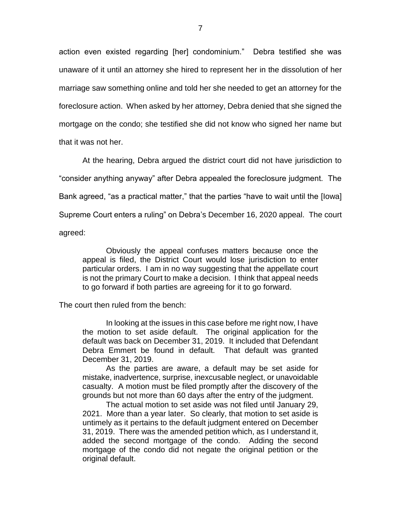action even existed regarding [her] condominium." Debra testified she was unaware of it until an attorney she hired to represent her in the dissolution of her marriage saw something online and told her she needed to get an attorney for the foreclosure action. When asked by her attorney, Debra denied that she signed the mortgage on the condo; she testified she did not know who signed her name but that it was not her.

At the hearing, Debra argued the district court did not have jurisdiction to "consider anything anyway" after Debra appealed the foreclosure judgment. The Bank agreed, "as a practical matter," that the parties "have to wait until the [Iowa] Supreme Court enters a ruling" on Debra's December 16, 2020 appeal. The court agreed:

Obviously the appeal confuses matters because once the appeal is filed, the District Court would lose jurisdiction to enter particular orders. I am in no way suggesting that the appellate court is not the primary Court to make a decision. I think that appeal needs to go forward if both parties are agreeing for it to go forward.

The court then ruled from the bench:

In looking at the issues in this case before me right now, I have the motion to set aside default. The original application for the default was back on December 31, 2019. It included that Defendant Debra Emmert be found in default. That default was granted December 31, 2019.

As the parties are aware, a default may be set aside for mistake, inadvertence, surprise, inexcusable neglect, or unavoidable casualty. A motion must be filed promptly after the discovery of the grounds but not more than 60 days after the entry of the judgment.

The actual motion to set aside was not filed until January 29, 2021. More than a year later. So clearly, that motion to set aside is untimely as it pertains to the default judgment entered on December 31, 2019. There was the amended petition which, as I understand it, added the second mortgage of the condo. Adding the second mortgage of the condo did not negate the original petition or the original default.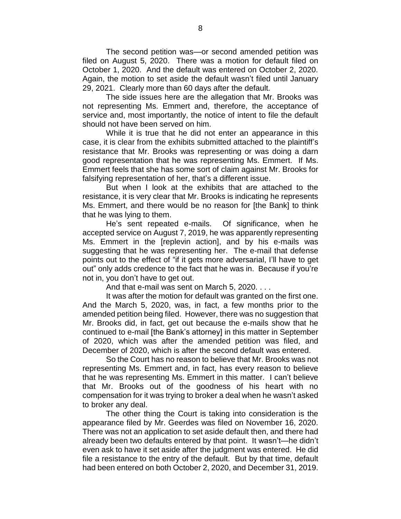The second petition was—or second amended petition was filed on August 5, 2020. There was a motion for default filed on October 1, 2020. And the default was entered on October 2, 2020. Again, the motion to set aside the default wasn't filed until January 29, 2021. Clearly more than 60 days after the default.

The side issues here are the allegation that Mr. Brooks was not representing Ms. Emmert and, therefore, the acceptance of service and, most importantly, the notice of intent to file the default should not have been served on him.

While it is true that he did not enter an appearance in this case, it is clear from the exhibits submitted attached to the plaintiff's resistance that Mr. Brooks was representing or was doing a darn good representation that he was representing Ms. Emmert. If Ms. Emmert feels that she has some sort of claim against Mr. Brooks for falsifying representation of her, that's a different issue.

But when I look at the exhibits that are attached to the resistance, it is very clear that Mr. Brooks is indicating he represents Ms. Emmert, and there would be no reason for [the Bank] to think that he was lying to them.

He's sent repeated e-mails. Of significance, when he accepted service on August 7, 2019, he was apparently representing Ms. Emmert in the [replevin action], and by his e-mails was suggesting that he was representing her. The e-mail that defense points out to the effect of "if it gets more adversarial, I'll have to get out" only adds credence to the fact that he was in. Because if you're not in, you don't have to get out.

And that e-mail was sent on March 5, 2020. . . .

It was after the motion for default was granted on the first one. And the March 5, 2020, was, in fact, a few months prior to the amended petition being filed. However, there was no suggestion that Mr. Brooks did, in fact, get out because the e-mails show that he continued to e-mail [the Bank's attorney] in this matter in September of 2020, which was after the amended petition was filed, and December of 2020, which is after the second default was entered.

So the Court has no reason to believe that Mr. Brooks was not representing Ms. Emmert and, in fact, has every reason to believe that he was representing Ms. Emmert in this matter. I can't believe that Mr. Brooks out of the goodness of his heart with no compensation for it was trying to broker a deal when he wasn't asked to broker any deal.

The other thing the Court is taking into consideration is the appearance filed by Mr. Geerdes was filed on November 16, 2020. There was not an application to set aside default then, and there had already been two defaults entered by that point. It wasn't—he didn't even ask to have it set aside after the judgment was entered. He did file a resistance to the entry of the default. But by that time, default had been entered on both October 2, 2020, and December 31, 2019.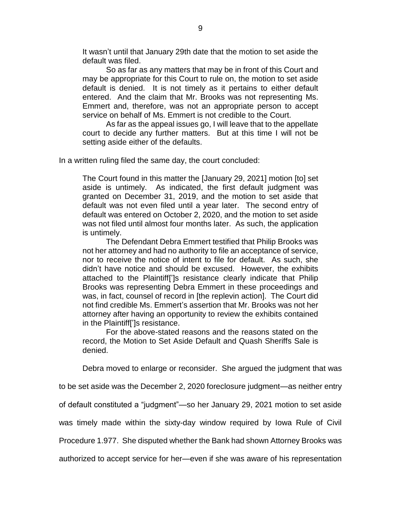It wasn't until that January 29th date that the motion to set aside the default was filed.

So as far as any matters that may be in front of this Court and may be appropriate for this Court to rule on, the motion to set aside default is denied. It is not timely as it pertains to either default entered. And the claim that Mr. Brooks was not representing Ms. Emmert and, therefore, was not an appropriate person to accept service on behalf of Ms. Emmert is not credible to the Court.

As far as the appeal issues go, I will leave that to the appellate court to decide any further matters. But at this time I will not be setting aside either of the defaults.

In a written ruling filed the same day, the court concluded:

The Court found in this matter the [January 29, 2021] motion [to] set aside is untimely. As indicated, the first default judgment was granted on December 31, 2019, and the motion to set aside that default was not even filed until a year later. The second entry of default was entered on October 2, 2020, and the motion to set aside was not filed until almost four months later. As such, the application is untimely.

The Defendant Debra Emmert testified that Philip Brooks was not her attorney and had no authority to file an acceptance of service, nor to receive the notice of intent to file for default. As such, she didn't have notice and should be excused. However, the exhibits attached to the Plaintiff[']s resistance clearly indicate that Philip Brooks was representing Debra Emmert in these proceedings and was, in fact, counsel of record in [the replevin action]. The Court did not find credible Ms. Emmert's assertion that Mr. Brooks was not her attorney after having an opportunity to review the exhibits contained in the Plaintiff[']s resistance.

For the above-stated reasons and the reasons stated on the record, the Motion to Set Aside Default and Quash Sheriffs Sale is denied.

Debra moved to enlarge or reconsider. She argued the judgment that was

to be set aside was the December 2, 2020 foreclosure judgment—as neither entry

of default constituted a "judgment"—so her January 29, 2021 motion to set aside

was timely made within the sixty-day window required by Iowa Rule of Civil

Procedure 1.977. She disputed whether the Bank had shown Attorney Brooks was

authorized to accept service for her—even if she was aware of his representation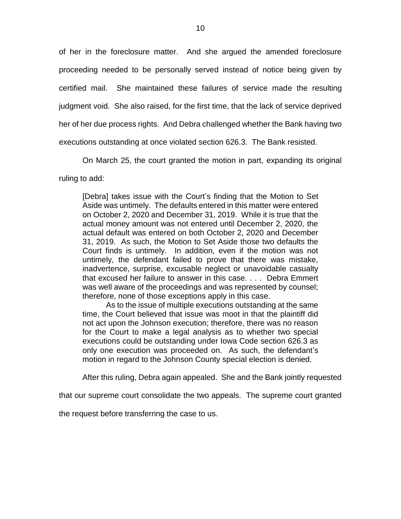of her in the foreclosure matter. And she argued the amended foreclosure proceeding needed to be personally served instead of notice being given by certified mail. She maintained these failures of service made the resulting judgment void. She also raised, for the first time, that the lack of service deprived her of her due process rights. And Debra challenged whether the Bank having two executions outstanding at once violated section 626.3. The Bank resisted.

On March 25, the court granted the motion in part, expanding its original

ruling to add:

[Debra] takes issue with the Court's finding that the Motion to Set Aside was untimely. The defaults entered in this matter were entered on October 2, 2020 and December 31, 2019. While it is true that the actual money amount was not entered until December 2, 2020, the actual default was entered on both October 2, 2020 and December 31, 2019. As such, the Motion to Set Aside those two defaults the Court finds is untimely. In addition, even if the motion was not untimely, the defendant failed to prove that there was mistake, inadvertence, surprise, excusable neglect or unavoidable casualty that excused her failure to answer in this case. . . . Debra Emmert was well aware of the proceedings and was represented by counsel; therefore, none of those exceptions apply in this case.

As to the issue of multiple executions outstanding at the same time, the Court believed that issue was moot in that the plaintiff did not act upon the Johnson execution; therefore, there was no reason for the Court to make a legal analysis as to whether two special executions could be outstanding under Iowa Code section 626.3 as only one execution was proceeded on. As such, the defendant's motion in regard to the Johnson County special election is denied.

After this ruling, Debra again appealed. She and the Bank jointly requested

that our supreme court consolidate the two appeals. The supreme court granted

the request before transferring the case to us.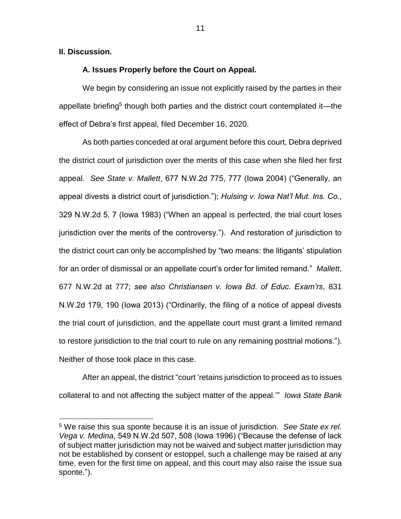### **II. Discussion.**

 $\overline{a}$ 

### **A. Issues Properly before the Court on Appeal.**

We begin by considering an issue not explicitly raised by the parties in their appellate briefing<sup>5</sup> though both parties and the district court contemplated it—the effect of Debra's first appeal, filed December 16, 2020.

As both parties conceded at oral argument before this court, Debra deprived the district court of jurisdiction over the merits of this case when she filed her first appeal. *See State v. Mallett*, 677 N.W.2d 775, 777 (Iowa 2004) ("Generally, an appeal divests a district court of jurisdiction."); *Hulsing v. Iowa Nat'l Mut. Ins. Co.*, 329 N.W.2d 5, 7 (Iowa 1983) ("When an appeal is perfected, the trial court loses jurisdiction over the merits of the controversy."). And restoration of jurisdiction to the district court can only be accomplished by "two means: the litigants' stipulation for an order of dismissal or an appellate court's order for limited remand." *Mallett*, 677 N.W.2d at 777; *see also Christiansen v. Iowa Bd. of Educ. Exam'rs*, 831 N.W.2d 179, 190 (Iowa 2013) ("Ordinarily, the filing of a notice of appeal divests the trial court of jurisdiction, and the appellate court must grant a limited remand to restore jurisdiction to the trial court to rule on any remaining posttrial motions."). Neither of those took place in this case.

After an appeal, the district "court 'retains jurisdiction to proceed as to issues collateral to and not affecting the subject matter of the appeal.'" *Iowa State Bank* 

<sup>5</sup> We raise this sua sponte because it is an issue of jurisdiction. *See State ex rel. Vega v. Medina*, 549 N.W.2d 507, 508 (Iowa 1996) ("Because the defense of lack of subject matter jurisdiction may not be waived and subject matter jurisdiction may not be established by consent or estoppel, such a challenge may be raised at any time, even for the first time on appeal, and this court may also raise the issue sua sponte.").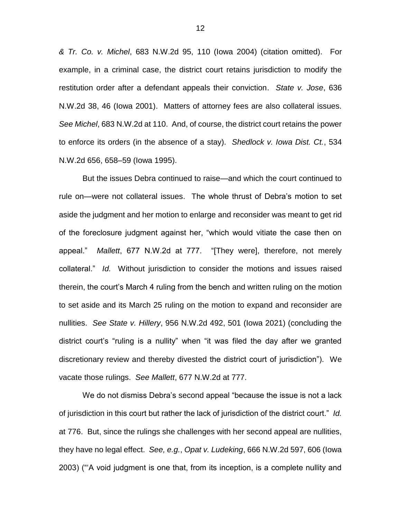*& Tr. Co. v. Michel*, 683 N.W.2d 95, 110 (Iowa 2004) (citation omitted). For example, in a criminal case, the district court retains jurisdiction to modify the restitution order after a defendant appeals their conviction. *State v. Jose*, 636 N.W.2d 38, 46 (Iowa 2001). Matters of attorney fees are also collateral issues. *See Michel*, 683 N.W.2d at 110. And, of course, the district court retains the power to enforce its orders (in the absence of a stay). *Shedlock v. Iowa Dist. Ct.*, 534 N.W.2d 656, 658–59 (Iowa 1995).

But the issues Debra continued to raise—and which the court continued to rule on—were not collateral issues. The whole thrust of Debra's motion to set aside the judgment and her motion to enlarge and reconsider was meant to get rid of the foreclosure judgment against her, "which would vitiate the case then on appeal." *Mallett*, 677 N.W.2d at 777. "[They were], therefore, not merely collateral." *Id.* Without jurisdiction to consider the motions and issues raised therein, the court's March 4 ruling from the bench and written ruling on the motion to set aside and its March 25 ruling on the motion to expand and reconsider are nullities. *See State v. Hillery*, 956 N.W.2d 492, 501 (Iowa 2021) (concluding the district court's "ruling is a nullity" when "it was filed the day after we granted discretionary review and thereby divested the district court of jurisdiction"). We vacate those rulings. *See Mallett*, 677 N.W.2d at 777.

We do not dismiss Debra's second appeal "because the issue is not a lack of jurisdiction in this court but rather the lack of jurisdiction of the district court." *Id.*  at 776. But, since the rulings she challenges with her second appeal are nullities, they have no legal effect. *See, e.g.*, *Opat v. Ludeking*, 666 N.W.2d 597, 606 (Iowa 2003) ("'A void judgment is one that, from its inception, is a complete nullity and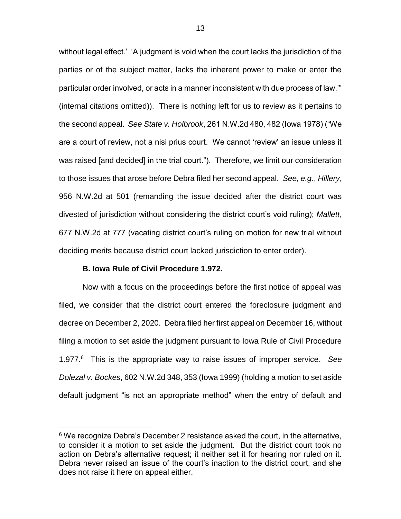without legal effect.' 'A judgment is void when the court lacks the jurisdiction of the parties or of the subject matter, lacks the inherent power to make or enter the particular order involved, or acts in a manner inconsistent with due process of law.'" (internal citations omitted)). There is nothing left for us to review as it pertains to the second appeal. *See State v. Holbrook*, 261 N.W.2d 480, 482 (Iowa 1978) ("We are a court of review, not a nisi prius court. We cannot 'review' an issue unless it was raised [and decided] in the trial court."). Therefore, we limit our consideration to those issues that arose before Debra filed her second appeal. *See, e.g.*, *Hillery*, 956 N.W.2d at 501 (remanding the issue decided after the district court was divested of jurisdiction without considering the district court's void ruling); *Mallett*, 677 N.W.2d at 777 (vacating district court's ruling on motion for new trial without deciding merits because district court lacked jurisdiction to enter order).

#### **B. Iowa Rule of Civil Procedure 1.972.**

 $\overline{a}$ 

Now with a focus on the proceedings before the first notice of appeal was filed, we consider that the district court entered the foreclosure judgment and decree on December 2, 2020. Debra filed her first appeal on December 16, without filing a motion to set aside the judgment pursuant to Iowa Rule of Civil Procedure 1.977.<sup>6</sup> This is the appropriate way to raise issues of improper service. *See Dolezal v. Bockes*, 602 N.W.2d 348, 353 (Iowa 1999) (holding a motion to set aside default judgment "is not an appropriate method" when the entry of default and

<sup>&</sup>lt;sup>6</sup> We recognize Debra's December 2 resistance asked the court, in the alternative, to consider it a motion to set aside the judgment. But the district court took no action on Debra's alternative request; it neither set it for hearing nor ruled on it. Debra never raised an issue of the court's inaction to the district court, and she does not raise it here on appeal either.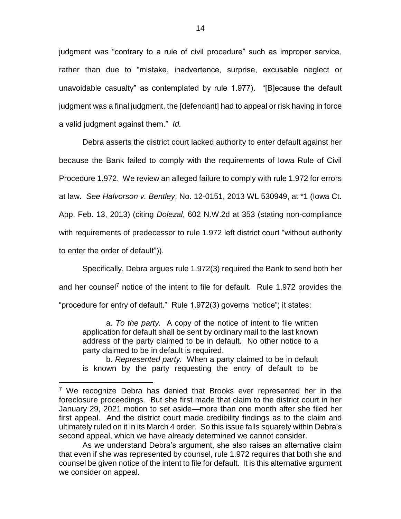judgment was "contrary to a rule of civil procedure" such as improper service, rather than due to "mistake, inadvertence, surprise, excusable neglect or unavoidable casualty" as contemplated by rule 1.977). "[B]ecause the default judgment was a final judgment, the [defendant] had to appeal or risk having in force a valid judgment against them." *Id.* 

Debra asserts the district court lacked authority to enter default against her because the Bank failed to comply with the requirements of Iowa Rule of Civil Procedure 1.972. We review an alleged failure to comply with rule 1.972 for errors at law. *See Halvorson v. Bentley*, No. 12-0151, 2013 WL 530949, at \*1 (Iowa Ct. App. Feb. 13, 2013) (citing *Dolezal*, 602 N.W.2d at 353 (stating non-compliance with requirements of predecessor to rule 1.972 left district court "without authority to enter the order of default")).

Specifically, Debra argues rule 1.972(3) required the Bank to send both her and her counsel<sup>7</sup> notice of the intent to file for default. Rule 1.972 provides the "procedure for entry of default." Rule 1.972(3) governs "notice"; it states:

a. *To the party.* A copy of the notice of intent to file written application for default shall be sent by ordinary mail to the last known address of the party claimed to be in default. No other notice to a party claimed to be in default is required.

b. *Represented party.* When a party claimed to be in default is known by the party requesting the entry of default to be

<sup>&</sup>lt;sup>7</sup> We recognize Debra has denied that Brooks ever represented her in the foreclosure proceedings. But she first made that claim to the district court in her January 29, 2021 motion to set aside—more than one month after she filed her first appeal. And the district court made credibility findings as to the claim and ultimately ruled on it in its March 4 order. So this issue falls squarely within Debra's second appeal, which we have already determined we cannot consider.

As we understand Debra's argument, she also raises an alternative claim that even if she was represented by counsel, rule 1.972 requires that both she and counsel be given notice of the intent to file for default. It is this alternative argument we consider on appeal.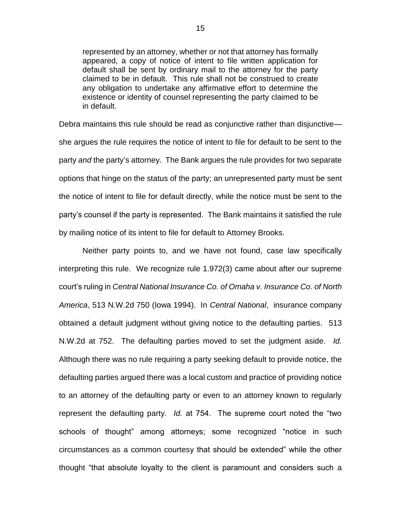represented by an attorney, whether or not that attorney has formally appeared, a copy of notice of intent to file written application for default shall be sent by ordinary mail to the attorney for the party claimed to be in default. This rule shall not be construed to create any obligation to undertake any affirmative effort to determine the existence or identity of counsel representing the party claimed to be in default.

Debra maintains this rule should be read as conjunctive rather than disjunctive she argues the rule requires the notice of intent to file for default to be sent to the party *and* the party's attorney. The Bank argues the rule provides for two separate options that hinge on the status of the party; an unrepresented party must be sent the notice of intent to file for default directly, while the notice must be sent to the party's counsel if the party is represented. The Bank maintains it satisfied the rule by mailing notice of its intent to file for default to Attorney Brooks.

Neither party points to, and we have not found, case law specifically interpreting this rule. We recognize rule 1.972(3) came about after our supreme court's ruling in *Central National Insurance Co. of Omaha v. Insurance Co. of North America*, 513 N.W.2d 750 (Iowa 1994). In *Central National*, insurance company obtained a default judgment without giving notice to the defaulting parties. 513 N.W.2d at 752. The defaulting parties moved to set the judgment aside. *Id.* Although there was no rule requiring a party seeking default to provide notice, the defaulting parties argued there was a local custom and practice of providing notice to an attorney of the defaulting party or even to an attorney known to regularly represent the defaulting party. *Id.* at 754. The supreme court noted the "two schools of thought" among attorneys; some recognized "notice in such circumstances as a common courtesy that should be extended" while the other thought "that absolute loyalty to the client is paramount and considers such a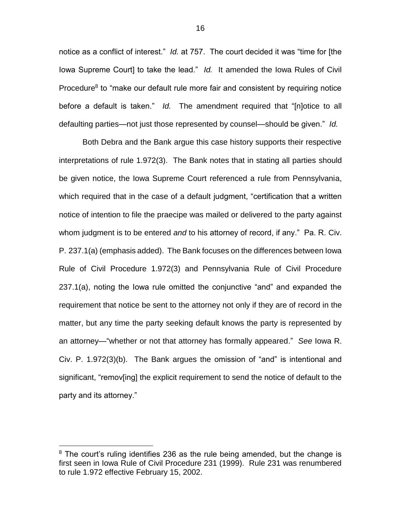notice as a conflict of interest." *Id.* at 757. The court decided it was "time for [the Iowa Supreme Court] to take the lead." *Id.* It amended the Iowa Rules of Civil Procedure<sup>8</sup> to "make our default rule more fair and consistent by requiring notice before a default is taken." *Id.* The amendment required that "[n]otice to all defaulting parties—not just those represented by counsel—should be given." *Id.* 

Both Debra and the Bank argue this case history supports their respective interpretations of rule 1.972(3). The Bank notes that in stating all parties should be given notice, the Iowa Supreme Court referenced a rule from Pennsylvania, which required that in the case of a default judgment, "certification that a written notice of intention to file the praecipe was mailed or delivered to the party against whom judgment is to be entered *and* to his attorney of record, if any." Pa. R. Civ. P. 237.1(a) (emphasis added). The Bank focuses on the differences between Iowa Rule of Civil Procedure 1.972(3) and Pennsylvania Rule of Civil Procedure 237.1(a), noting the Iowa rule omitted the conjunctive "and" and expanded the requirement that notice be sent to the attorney not only if they are of record in the matter, but any time the party seeking default knows the party is represented by an attorney—"whether or not that attorney has formally appeared." *See* Iowa R. Civ. P. 1.972(3)(b). The Bank argues the omission of "and" is intentional and significant, "remov[ing] the explicit requirement to send the notice of default to the party and its attorney."

 $8$  The court's ruling identifies 236 as the rule being amended, but the change is first seen in Iowa Rule of Civil Procedure 231 (1999). Rule 231 was renumbered to rule 1.972 effective February 15, 2002.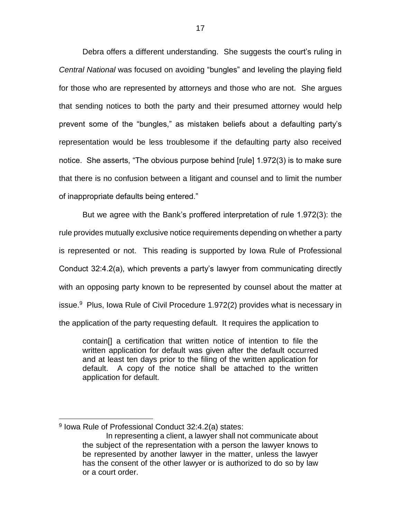Debra offers a different understanding. She suggests the court's ruling in *Central National* was focused on avoiding "bungles" and leveling the playing field for those who are represented by attorneys and those who are not. She argues that sending notices to both the party and their presumed attorney would help prevent some of the "bungles," as mistaken beliefs about a defaulting party's representation would be less troublesome if the defaulting party also received notice. She asserts, "The obvious purpose behind [rule] 1.972(3) is to make sure that there is no confusion between a litigant and counsel and to limit the number of inappropriate defaults being entered."

But we agree with the Bank's proffered interpretation of rule 1.972(3): the rule provides mutually exclusive notice requirements depending on whether a party is represented or not. This reading is supported by Iowa Rule of Professional Conduct 32:4.2(a), which prevents a party's lawyer from communicating directly with an opposing party known to be represented by counsel about the matter at issue. $9$  Plus, Iowa Rule of Civil Procedure 1.972(2) provides what is necessary in the application of the party requesting default. It requires the application to

contain[] a certification that written notice of intention to file the written application for default was given after the default occurred and at least ten days prior to the filing of the written application for default. A copy of the notice shall be attached to the written application for default.

<sup>&</sup>lt;sup>9</sup> Iowa Rule of Professional Conduct 32:4.2(a) states:

In representing a client, a lawyer shall not communicate about the subject of the representation with a person the lawyer knows to be represented by another lawyer in the matter, unless the lawyer has the consent of the other lawyer or is authorized to do so by law or a court order.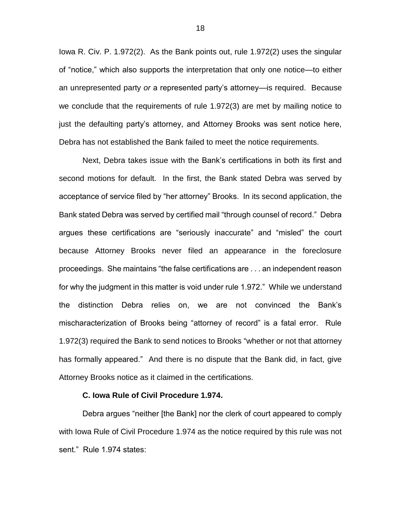Iowa R. Civ. P. 1.972(2). As the Bank points out, rule 1.972(2) uses the singular of "notice," which also supports the interpretation that only one notice—to either an unrepresented party *or* a represented party's attorney—is required. Because we conclude that the requirements of rule 1.972(3) are met by mailing notice to just the defaulting party's attorney, and Attorney Brooks was sent notice here, Debra has not established the Bank failed to meet the notice requirements.

Next, Debra takes issue with the Bank's certifications in both its first and second motions for default. In the first, the Bank stated Debra was served by acceptance of service filed by "her attorney" Brooks. In its second application, the Bank stated Debra was served by certified mail "through counsel of record." Debra argues these certifications are "seriously inaccurate" and "misled" the court because Attorney Brooks never filed an appearance in the foreclosure proceedings. She maintains "the false certifications are . . . an independent reason for why the judgment in this matter is void under rule 1.972." While we understand the distinction Debra relies on, we are not convinced the Bank's mischaracterization of Brooks being "attorney of record" is a fatal error. Rule 1.972(3) required the Bank to send notices to Brooks "whether or not that attorney has formally appeared." And there is no dispute that the Bank did, in fact, give Attorney Brooks notice as it claimed in the certifications.

#### **C. Iowa Rule of Civil Procedure 1.974.**

Debra argues "neither [the Bank] nor the clerk of court appeared to comply with Iowa Rule of Civil Procedure 1.974 as the notice required by this rule was not sent." Rule 1.974 states: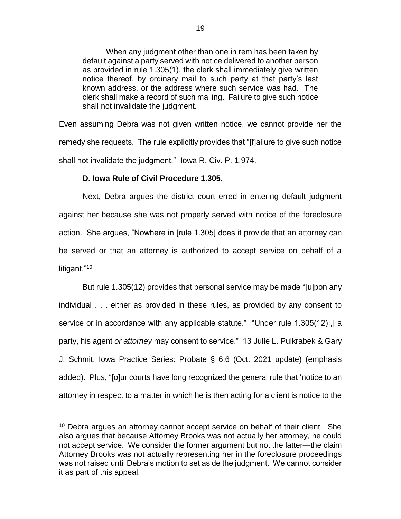When any judgment other than one in rem has been taken by default against a party served with notice delivered to another person as provided in rule 1.305(1), the clerk shall immediately give written notice thereof, by ordinary mail to such party at that party's last known address, or the address where such service was had. The clerk shall make a record of such mailing. Failure to give such notice shall not invalidate the judgment.

Even assuming Debra was not given written notice, we cannot provide her the remedy she requests. The rule explicitly provides that "[f]ailure to give such notice shall not invalidate the judgment." Iowa R. Civ. P. 1.974.

## **D. Iowa Rule of Civil Procedure 1.305.**

 $\overline{a}$ 

Next, Debra argues the district court erred in entering default judgment against her because she was not properly served with notice of the foreclosure action. She argues, "Nowhere in [rule 1.305] does it provide that an attorney can be served or that an attorney is authorized to accept service on behalf of a litigant."<sup>10</sup>

But rule 1.305(12) provides that personal service may be made "[u]pon any individual . . . either as provided in these rules, as provided by any consent to service or in accordance with any applicable statute." "Under rule 1.305(12)[,] a party, his agent *or attorney* may consent to service." 13 Julie L. Pulkrabek & Gary J. Schmit, Iowa Practice Series: Probate § 6:6 (Oct. 2021 update) (emphasis added). Plus, "[o]ur courts have long recognized the general rule that 'notice to an attorney in respect to a matter in which he is then acting for a client is notice to the

<sup>&</sup>lt;sup>10</sup> Debra argues an attorney cannot accept service on behalf of their client. She also argues that because Attorney Brooks was not actually her attorney, he could not accept service. We consider the former argument but not the latter—the claim Attorney Brooks was not actually representing her in the foreclosure proceedings was not raised until Debra's motion to set aside the judgment. We cannot consider it as part of this appeal.